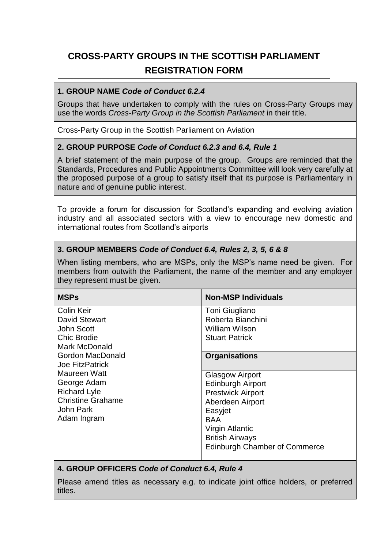# **CROSS-PARTY GROUPS IN THE SCOTTISH PARLIAMENT REGISTRATION FORM**

#### **1. GROUP NAME** *Code of Conduct 6.2.4*

Groups that have undertaken to comply with the rules on Cross-Party Groups may use the words *Cross-Party Group in the Scottish Parliament* in their title.

Cross-Party Group in the Scottish Parliament on Aviation

#### **2. GROUP PURPOSE** *Code of Conduct 6.2.3 and 6.4, Rule 1*

A brief statement of the main purpose of the group. Groups are reminded that the Standards, Procedures and Public Appointments Committee will look very carefully at the proposed purpose of a group to satisfy itself that its purpose is Parliamentary in nature and of genuine public interest.

To provide a forum for discussion for Scotland's expanding and evolving aviation industry and all associated sectors with a view to encourage new domestic and international routes from Scotland's airports

#### **3. GROUP MEMBERS** *Code of Conduct 6.4, Rules 2, 3, 5, 6 & 8*

When listing members, who are MSPs, only the MSP's name need be given. For members from outwith the Parliament, the name of the member and any employer they represent must be given.

| <b>MSPs</b>              | <b>Non-MSP Individuals</b>           |
|--------------------------|--------------------------------------|
| <b>Colin Keir</b>        | Toni Giugliano                       |
| <b>David Stewart</b>     | Roberta Bianchini                    |
| John Scott               | William Wilson                       |
| <b>Chic Brodie</b>       | <b>Stuart Patrick</b>                |
| Mark McDonald            |                                      |
| <b>Gordon MacDonald</b>  | <b>Organisations</b>                 |
| <b>Joe FitzPatrick</b>   |                                      |
| Maureen Watt             | <b>Glasgow Airport</b>               |
| George Adam              | <b>Edinburgh Airport</b>             |
| <b>Richard Lyle</b>      | <b>Prestwick Airport</b>             |
| <b>Christine Grahame</b> | Aberdeen Airport                     |
| John Park                | Easyjet                              |
| Adam Ingram              | <b>BAA</b>                           |
|                          | Virgin Atlantic                      |
|                          | <b>British Airways</b>               |
|                          | <b>Edinburgh Chamber of Commerce</b> |

#### **4. GROUP OFFICERS** *Code of Conduct 6.4, Rule 4*

Please amend titles as necessary e.g. to indicate joint office holders, or preferred titles.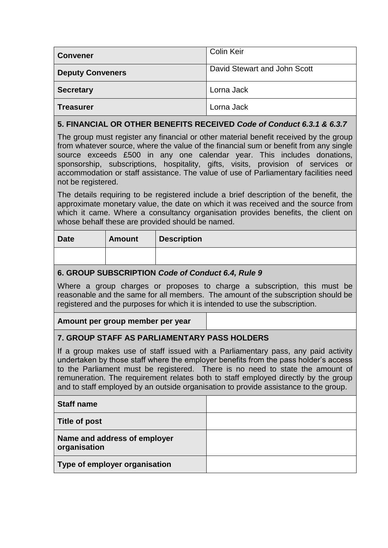| <b>Convener</b>                                                                                                                                                                | Colin Keir                   |  |
|--------------------------------------------------------------------------------------------------------------------------------------------------------------------------------|------------------------------|--|
| <b>Deputy Conveners</b>                                                                                                                                                        | David Stewart and John Scott |  |
| <b>Secretary</b>                                                                                                                                                               | Lorna Jack                   |  |
| <b>Treasurer</b>                                                                                                                                                               | Lorna Jack                   |  |
| 5. FINANCIAL OR OTHER BENEFITS RECEIVED Code of Conduct 6.3.1 & 6.3.7                                                                                                          |                              |  |
| The group must register any financial or other material benefit received by the group<br>from whatever source, where the value of the financial sum or benefit from any single |                              |  |

source exceeds £500 in any one calendar year. This includes donations, sponsorship, subscriptions, hospitality, gifts, visits, provision of services or accommodation or staff assistance. The value of use of Parliamentary facilities need not be registered.

The details requiring to be registered include a brief description of the benefit, the approximate monetary value, the date on which it was received and the source from which it came. Where a consultancy organisation provides benefits, the client on whose behalf these are provided should be named.

| <b>Date</b> | <b>Amount</b> | <b>Description</b> |
|-------------|---------------|--------------------|
|             |               |                    |

## **6. GROUP SUBSCRIPTION** *Code of Conduct 6.4, Rule 9*

Where a group charges or proposes to charge a subscription, this must be reasonable and the same for all members. The amount of the subscription should be registered and the purposes for which it is intended to use the subscription.

## **Amount per group member per year**

## **7. GROUP STAFF AS PARLIAMENTARY PASS HOLDERS**

If a group makes use of staff issued with a Parliamentary pass, any paid activity undertaken by those staff where the employer benefits from the pass holder's access to the Parliament must be registered. There is no need to state the amount of remuneration. The requirement relates both to staff employed directly by the group and to staff employed by an outside organisation to provide assistance to the group.

| <b>Staff name</b>                            |  |
|----------------------------------------------|--|
| <b>Title of post</b>                         |  |
| Name and address of employer<br>organisation |  |
| Type of employer organisation                |  |